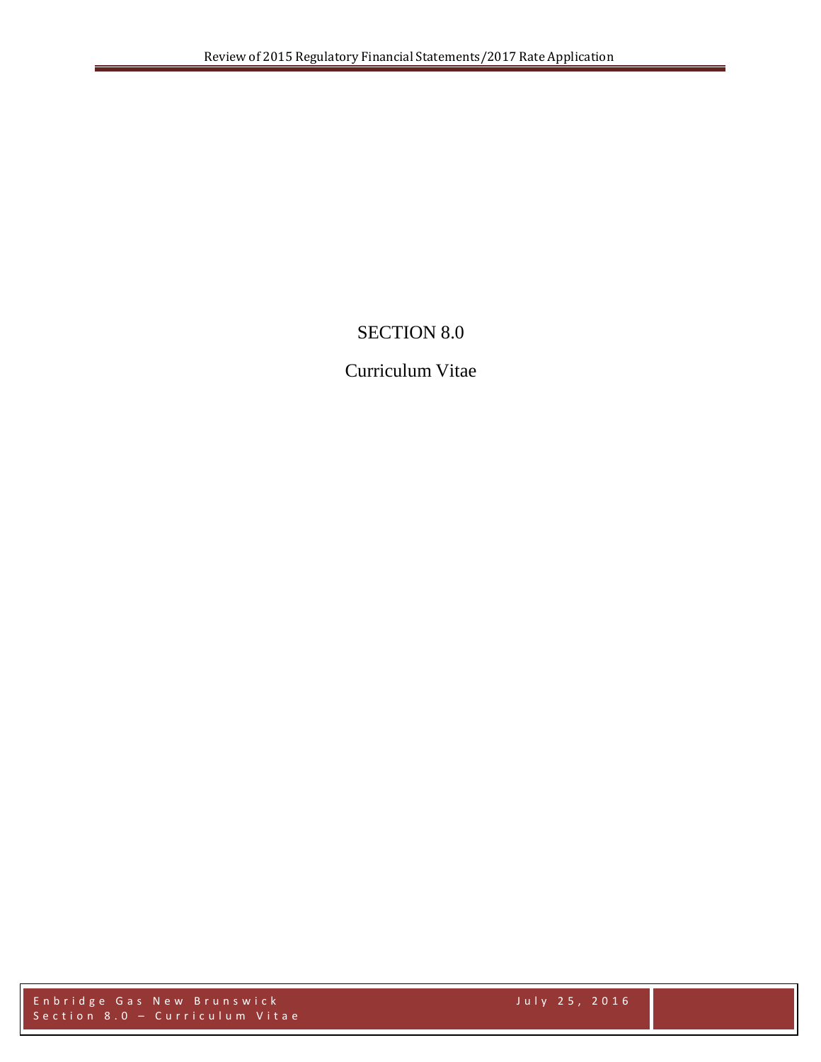# SECTION 8.0

# Curriculum Vitae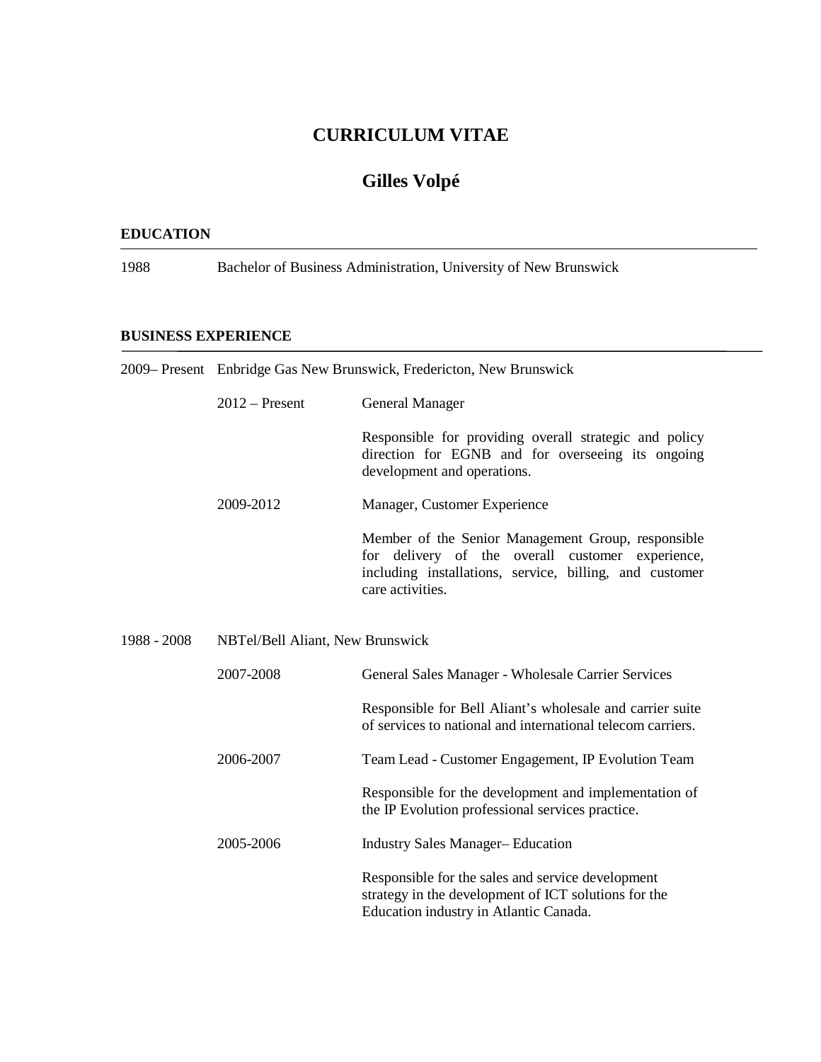# **CURRICULUM VITAE**

# **Gilles Volpé**

#### **EDUCATION**

1988 Bachelor of Business Administration, University of New Brunswick

#### **BUSINESS EXPERIENCE**

2009– Present Enbridge Gas New Brunswick, Fredericton, New Brunswick 2012 – Present General Manager Responsible for providing overall strategic and policy direction for EGNB and for overseeing its ongoing development and operations. 2009-2012 Manager, Customer Experience Member of the Senior Management Group, responsible for delivery of the overall customer experience, including installations, service, billing, and customer care activities. 1988 - 2008 NBTel/Bell Aliant, New Brunswick 2007-2008 General Sales Manager - Wholesale Carrier Services Responsible for Bell Aliant's wholesale and carrier suite of services to national and international telecom carriers. 2006-2007 Team Lead - Customer Engagement, IP Evolution Team Responsible for the development and implementation of the IP Evolution professional services practice. 2005-2006 Industry Sales Manager– Education Responsible for the sales and service development strategy in the development of ICT solutions for the Education industry in Atlantic Canada.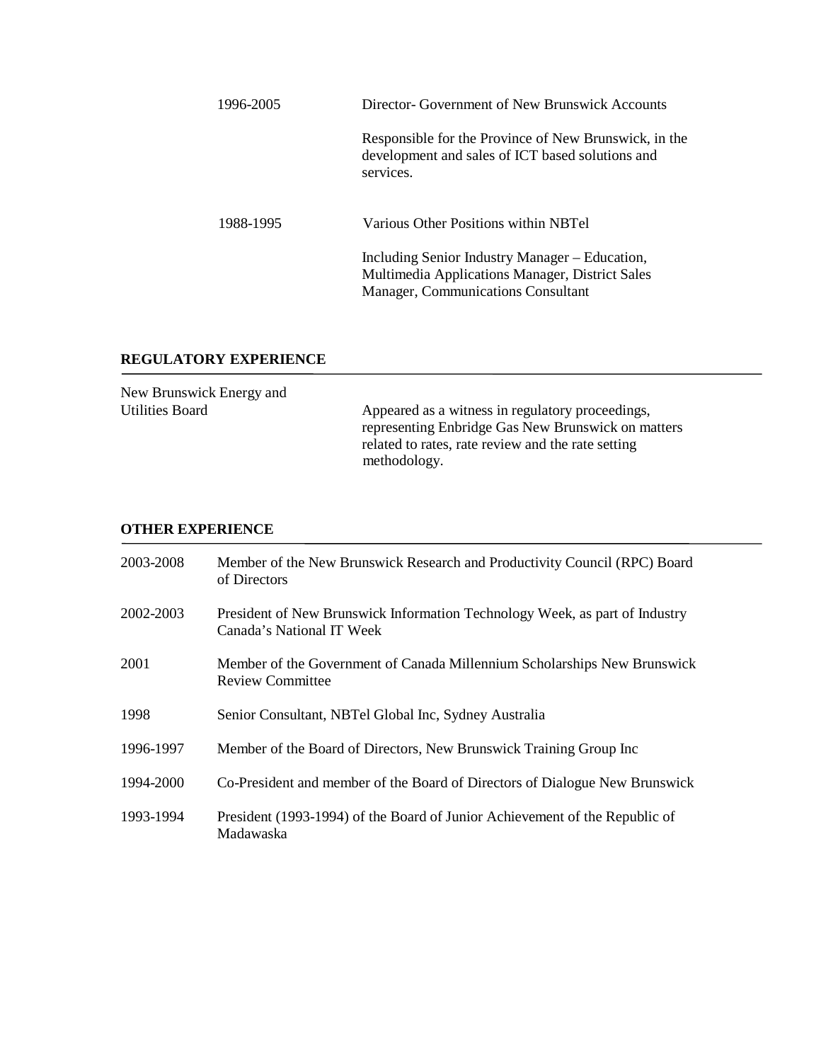| 1996-2005 | Director-Government of New Brunswick Accounts                                                                                           |  |
|-----------|-----------------------------------------------------------------------------------------------------------------------------------------|--|
|           | Responsible for the Province of New Brunswick, in the<br>development and sales of ICT based solutions and<br>services.                  |  |
| 1988-1995 | Various Other Positions within NBTel                                                                                                    |  |
|           | Including Senior Industry Manager – Education,<br>Multimedia Applications Manager, District Sales<br>Manager, Communications Consultant |  |

### **REGULATORY EXPERIENCE**

| New Brunswick Energy and |                                                                                                                                                                              |
|--------------------------|------------------------------------------------------------------------------------------------------------------------------------------------------------------------------|
| Utilities Board          | Appeared as a witness in regulatory proceedings,<br>representing Enbridge Gas New Brunswick on matters<br>related to rates, rate review and the rate setting<br>methodology. |
|                          |                                                                                                                                                                              |

#### **OTHER EXPERIENCE**

| 2003-2008 | Member of the New Brunswick Research and Productivity Council (RPC) Board<br>of Directors                |
|-----------|----------------------------------------------------------------------------------------------------------|
| 2002-2003 | President of New Brunswick Information Technology Week, as part of Industry<br>Canada's National IT Week |
| 2001      | Member of the Government of Canada Millennium Scholarships New Brunswick<br><b>Review Committee</b>      |
| 1998      | Senior Consultant, NBTel Global Inc, Sydney Australia                                                    |
| 1996-1997 | Member of the Board of Directors, New Brunswick Training Group Inc                                       |
| 1994-2000 | Co-President and member of the Board of Directors of Dialogue New Brunswick                              |
| 1993-1994 | President (1993-1994) of the Board of Junior Achievement of the Republic of<br>Madawaska                 |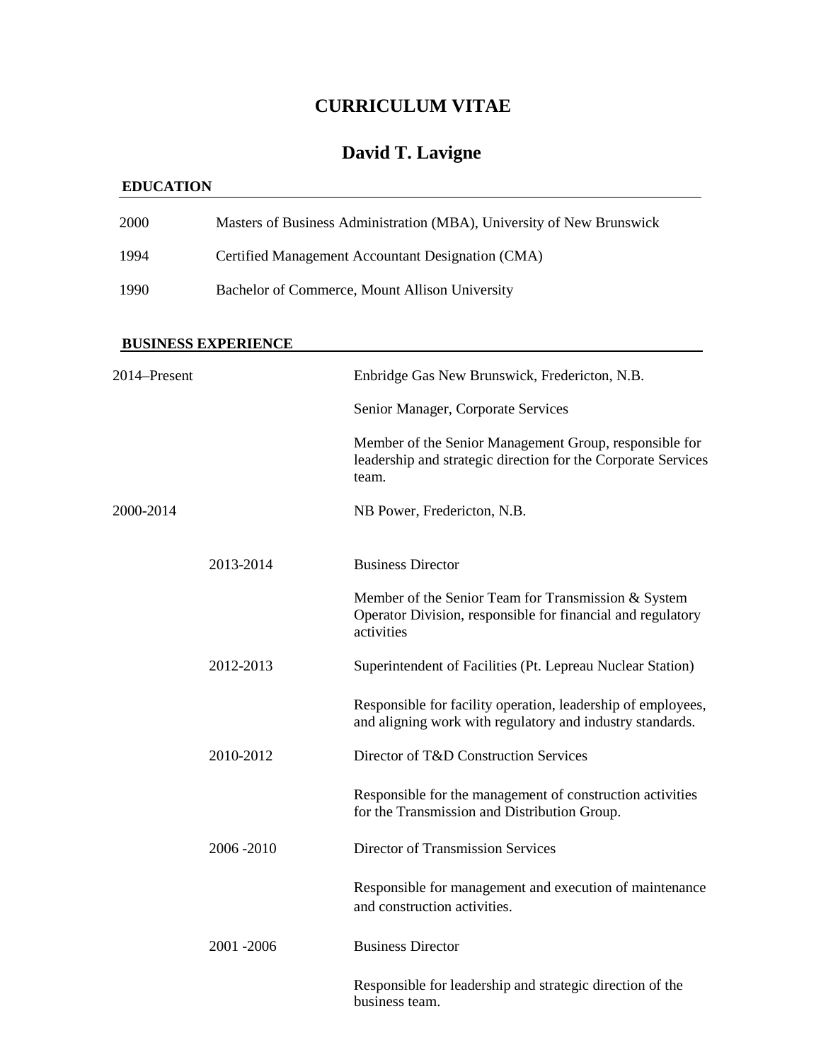# **CURRICULUM VITAE**

# **David T. Lavigne**

# **EDUCATION**

| 2000 | Masters of Business Administration (MBA), University of New Brunswick |
|------|-----------------------------------------------------------------------|
| 1994 | Certified Management Accountant Designation (CMA)                     |
| 1990 | Bachelor of Commerce, Mount Allison University                        |

# **BUSINESS EXPERIENCE**

| 2014-Present |           | Enbridge Gas New Brunswick, Fredericton, N.B.                                                                                    |
|--------------|-----------|----------------------------------------------------------------------------------------------------------------------------------|
|              |           | Senior Manager, Corporate Services                                                                                               |
|              |           | Member of the Senior Management Group, responsible for<br>leadership and strategic direction for the Corporate Services<br>team. |
| 2000-2014    |           | NB Power, Fredericton, N.B.                                                                                                      |
|              | 2013-2014 | <b>Business Director</b>                                                                                                         |
|              |           | Member of the Senior Team for Transmission & System<br>Operator Division, responsible for financial and regulatory<br>activities |
|              | 2012-2013 | Superintendent of Facilities (Pt. Lepreau Nuclear Station)                                                                       |
|              |           | Responsible for facility operation, leadership of employees,<br>and aligning work with regulatory and industry standards.        |
|              | 2010-2012 | Director of T&D Construction Services                                                                                            |
|              |           | Responsible for the management of construction activities<br>for the Transmission and Distribution Group.                        |
|              | 2006-2010 | Director of Transmission Services                                                                                                |
|              |           | Responsible for management and execution of maintenance<br>and construction activities.                                          |
|              | 2001-2006 | <b>Business Director</b>                                                                                                         |
|              |           | Responsible for leadership and strategic direction of the<br>business team.                                                      |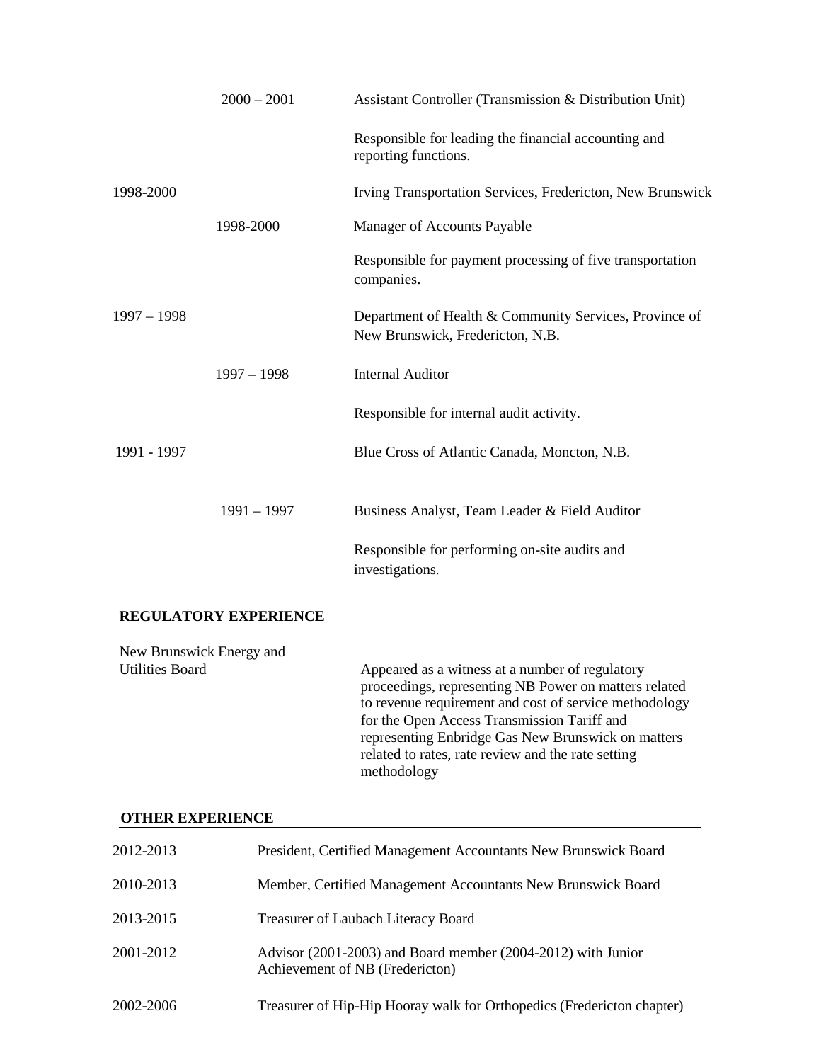|               | $2000 - 2001$ | Assistant Controller (Transmission & Distribution Unit)                                    |
|---------------|---------------|--------------------------------------------------------------------------------------------|
|               |               | Responsible for leading the financial accounting and<br>reporting functions.               |
| 1998-2000     |               | Irving Transportation Services, Fredericton, New Brunswick                                 |
|               | 1998-2000     | Manager of Accounts Payable                                                                |
|               |               | Responsible for payment processing of five transportation<br>companies.                    |
| $1997 - 1998$ |               | Department of Health & Community Services, Province of<br>New Brunswick, Fredericton, N.B. |
|               | $1997 - 1998$ | <b>Internal Auditor</b>                                                                    |
|               |               | Responsible for internal audit activity.                                                   |
| 1991 - 1997   |               | Blue Cross of Atlantic Canada, Moncton, N.B.                                               |
|               | $1991 - 1997$ | Business Analyst, Team Leader & Field Auditor                                              |
|               |               | Responsible for performing on-site audits and<br>investigations.                           |
|               |               |                                                                                            |

## **REGULATORY EXPERIENCE**

| New Brunswick Energy and |                                                                                                                                                                                                                                                                                                                                              |
|--------------------------|----------------------------------------------------------------------------------------------------------------------------------------------------------------------------------------------------------------------------------------------------------------------------------------------------------------------------------------------|
| <b>Utilities Board</b>   | Appeared as a witness at a number of regulatory<br>proceedings, representing NB Power on matters related<br>to revenue requirement and cost of service methodology<br>for the Open Access Transmission Tariff and<br>representing Enbridge Gas New Brunswick on matters<br>related to rates, rate review and the rate setting<br>methodology |

# **OTHER EXPERIENCE**

| 2012-2013 | President, Certified Management Accountants New Brunswick Board                                 |
|-----------|-------------------------------------------------------------------------------------------------|
| 2010-2013 | Member, Certified Management Accountants New Brunswick Board                                    |
| 2013-2015 | Treasurer of Laubach Literacy Board                                                             |
| 2001-2012 | Advisor (2001-2003) and Board member (2004-2012) with Junior<br>Achievement of NB (Fredericton) |
| 2002-2006 | Treasurer of Hip-Hip Hooray walk for Orthopedics (Fredericton chapter)                          |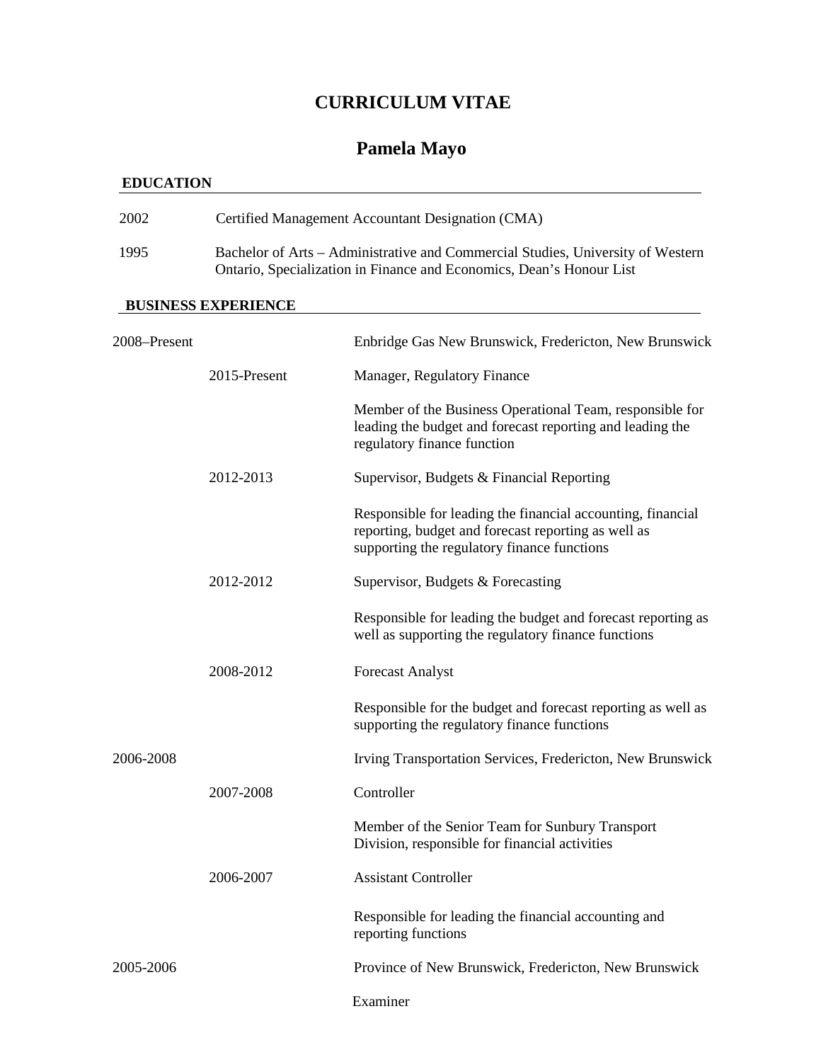# **CURRICULUM VITAE**

# **Pamela Mayo**

# **EDUCATION**

| 2002 | Certified Management Accountant Designation (CMA)                                                                                                       |
|------|---------------------------------------------------------------------------------------------------------------------------------------------------------|
| 1995 | Bachelor of Arts – Administrative and Commercial Studies, University of Western<br>Ontario, Specialization in Finance and Economics, Dean's Honour List |

## **BUSINESS EXPERIENCE**

| 2008-Present |              | Enbridge Gas New Brunswick, Fredericton, New Brunswick                                                                                                            |
|--------------|--------------|-------------------------------------------------------------------------------------------------------------------------------------------------------------------|
|              | 2015-Present | Manager, Regulatory Finance                                                                                                                                       |
|              |              | Member of the Business Operational Team, responsible for<br>leading the budget and forecast reporting and leading the<br>regulatory finance function              |
|              | 2012-2013    | Supervisor, Budgets & Financial Reporting                                                                                                                         |
|              |              | Responsible for leading the financial accounting, financial<br>reporting, budget and forecast reporting as well as<br>supporting the regulatory finance functions |
|              | 2012-2012    | Supervisor, Budgets & Forecasting                                                                                                                                 |
|              |              | Responsible for leading the budget and forecast reporting as<br>well as supporting the regulatory finance functions                                               |
|              | 2008-2012    | <b>Forecast Analyst</b>                                                                                                                                           |
|              |              | Responsible for the budget and forecast reporting as well as<br>supporting the regulatory finance functions                                                       |
| 2006-2008    |              | Irving Transportation Services, Fredericton, New Brunswick                                                                                                        |
|              | 2007-2008    | Controller                                                                                                                                                        |
|              |              | Member of the Senior Team for Sunbury Transport<br>Division, responsible for financial activities                                                                 |
|              | 2006-2007    | <b>Assistant Controller</b>                                                                                                                                       |
|              |              | Responsible for leading the financial accounting and<br>reporting functions                                                                                       |
| 2005-2006    |              | Province of New Brunswick, Fredericton, New Brunswick                                                                                                             |
|              |              | Examiner                                                                                                                                                          |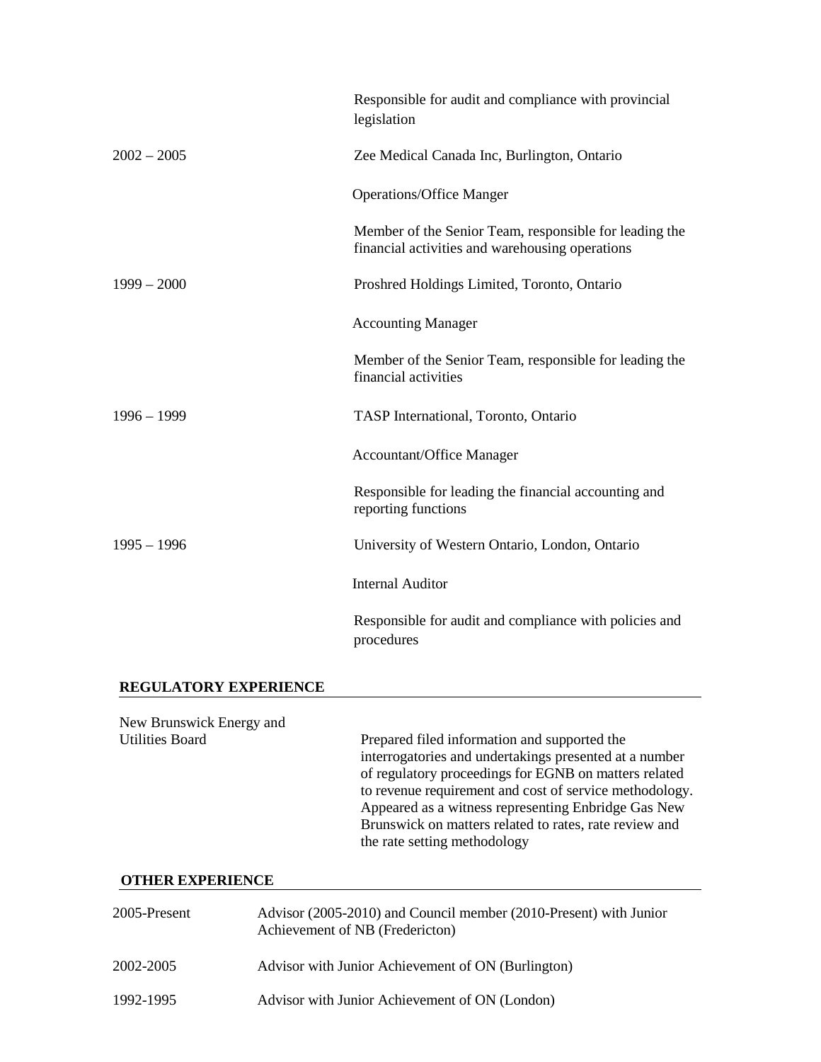|               | Responsible for audit and compliance with provincial<br>legislation                                       |
|---------------|-----------------------------------------------------------------------------------------------------------|
| $2002 - 2005$ | Zee Medical Canada Inc, Burlington, Ontario                                                               |
|               | <b>Operations/Office Manger</b>                                                                           |
|               | Member of the Senior Team, responsible for leading the<br>financial activities and warehousing operations |
| $1999 - 2000$ | Proshred Holdings Limited, Toronto, Ontario                                                               |
|               | <b>Accounting Manager</b>                                                                                 |
|               | Member of the Senior Team, responsible for leading the<br>financial activities                            |
| $1996 - 1999$ | TASP International, Toronto, Ontario                                                                      |
|               | <b>Accountant/Office Manager</b>                                                                          |
|               | Responsible for leading the financial accounting and<br>reporting functions                               |
| $1995 - 1996$ | University of Western Ontario, London, Ontario                                                            |
|               | <b>Internal Auditor</b>                                                                                   |
|               | Responsible for audit and compliance with policies and<br>procedures                                      |

#### **REGULATORY EXPERIENCE**

New Brunswick Energy and<br>Utilities Board Prepared filed information and supported the interrogatories and undertakings presented at a number of regulatory proceedings for EGNB on matters related to revenue requirement and cost of service methodology. Appeared as a witness representing Enbridge Gas New Brunswick on matters related to rates, rate review and the rate setting methodology

### **OTHER EXPERIENCE**

| 2005-Present | Advisor (2005-2010) and Council member (2010-Present) with Junior<br>Achievement of NB (Fredericton) |
|--------------|------------------------------------------------------------------------------------------------------|
| 2002-2005    | Advisor with Junior Achievement of ON (Burlington)                                                   |
| 1992-1995    | Advisor with Junior Achievement of ON (London)                                                       |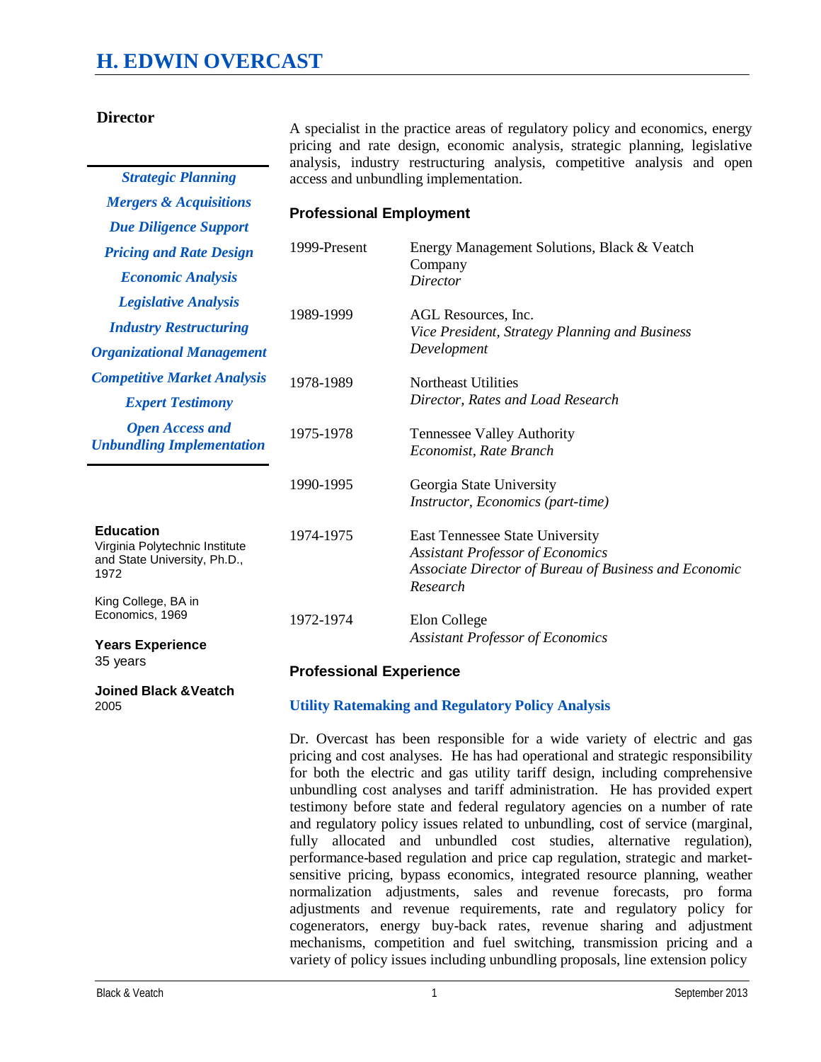# **H. EDWIN OVERCAST**

*Strategic Planning Mergers & Acquisitions* 

### **Director**

A specialist in the practice areas of regulatory policy and economics, energy pricing and rate design, economic analysis, strategic planning, legislative analysis, industry restructuring analysis, competitive analysis and open access and unbundling implementation.

#### **Professional Employment**

| <b>Due Diligence Support</b>                                                               |              |                                                                                                                                                        |
|--------------------------------------------------------------------------------------------|--------------|--------------------------------------------------------------------------------------------------------------------------------------------------------|
| <b>Pricing and Rate Design</b>                                                             | 1999-Present | Energy Management Solutions, Black & Veatch<br>Company                                                                                                 |
| <b>Economic Analysis</b>                                                                   |              | <b>Director</b>                                                                                                                                        |
| <b>Legislative Analysis</b>                                                                | 1989-1999    | AGL Resources, Inc.<br>Vice President, Strategy Planning and Business<br>Development                                                                   |
| <b>Industry Restructuring</b>                                                              |              |                                                                                                                                                        |
| <b>Organizational Management</b>                                                           |              |                                                                                                                                                        |
| <b>Competitive Market Analysis</b>                                                         | 1978-1989    | Northeast Utilities                                                                                                                                    |
| <b>Expert Testimony</b>                                                                    |              | Director, Rates and Load Research                                                                                                                      |
| <b>Open Access and</b><br><b>Unbundling Implementation</b>                                 | 1975-1978    | <b>Tennessee Valley Authority</b><br>Economist, Rate Branch                                                                                            |
|                                                                                            | 1990-1995    | Georgia State University<br><i>Instructor, Economics (part-time)</i>                                                                                   |
| <b>Education</b><br>Virginia Polytechnic Institute<br>and State University, Ph.D.,<br>1972 | 1974-1975    | <b>East Tennessee State University</b><br><b>Assistant Professor of Economics</b><br>Associate Director of Bureau of Business and Economic<br>Research |
| King College, BA in<br>Economics, 1969                                                     | 1972-1974    | Elon College                                                                                                                                           |
| <b>Years Experience</b>                                                                    |              | <b>Assistant Professor of Economics</b>                                                                                                                |

35 years

**Joined Black &Veatch** 2005

#### **Professional Experience**

#### **Utility Ratemaking and Regulatory Policy Analysis**

Dr. Overcast has been responsible for a wide variety of electric and gas pricing and cost analyses. He has had operational and strategic responsibility for both the electric and gas utility tariff design, including comprehensive unbundling cost analyses and tariff administration. He has provided expert testimony before state and federal regulatory agencies on a number of rate and regulatory policy issues related to unbundling, cost of service (marginal, fully allocated and unbundled cost studies, alternative regulation), performance-based regulation and price cap regulation, strategic and marketsensitive pricing, bypass economics, integrated resource planning, weather normalization adjustments, sales and revenue forecasts, pro forma adjustments and revenue requirements, rate and regulatory policy for cogenerators, energy buy-back rates, revenue sharing and adjustment mechanisms, competition and fuel switching, transmission pricing and a variety of policy issues including unbundling proposals, line extension policy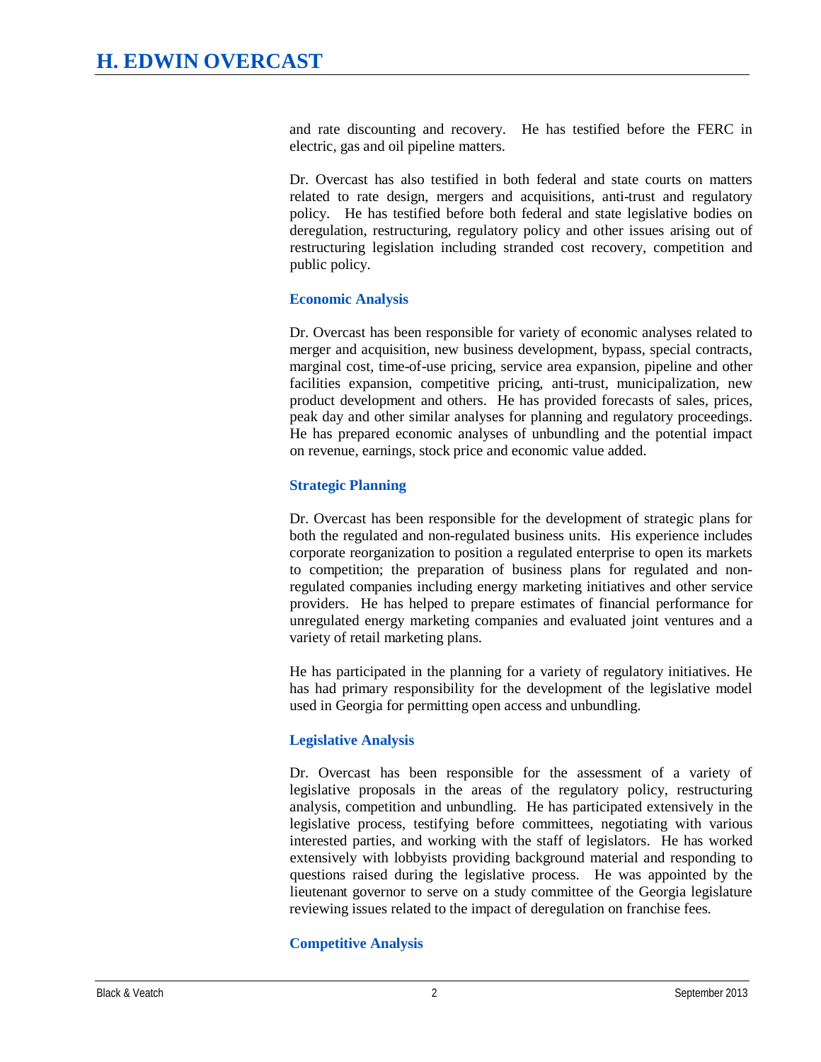and rate discounting and recovery. He has testified before the FERC in electric, gas and oil pipeline matters.

Dr. Overcast has also testified in both federal and state courts on matters related to rate design, mergers and acquisitions, anti-trust and regulatory policy. He has testified before both federal and state legislative bodies on deregulation, restructuring, regulatory policy and other issues arising out of restructuring legislation including stranded cost recovery, competition and public policy.

## **Economic Analysis**

Dr. Overcast has been responsible for variety of economic analyses related to merger and acquisition, new business development, bypass, special contracts, marginal cost, time-of-use pricing, service area expansion, pipeline and other facilities expansion, competitive pricing, anti-trust, municipalization, new product development and others. He has provided forecasts of sales, prices, peak day and other similar analyses for planning and regulatory proceedings. He has prepared economic analyses of unbundling and the potential impact on revenue, earnings, stock price and economic value added.

### **Strategic Planning**

Dr. Overcast has been responsible for the development of strategic plans for both the regulated and non-regulated business units. His experience includes corporate reorganization to position a regulated enterprise to open its markets to competition; the preparation of business plans for regulated and nonregulated companies including energy marketing initiatives and other service providers. He has helped to prepare estimates of financial performance for unregulated energy marketing companies and evaluated joint ventures and a variety of retail marketing plans.

He has participated in the planning for a variety of regulatory initiatives. He has had primary responsibility for the development of the legislative model used in Georgia for permitting open access and unbundling.

## **Legislative Analysis**

Dr. Overcast has been responsible for the assessment of a variety of legislative proposals in the areas of the regulatory policy, restructuring analysis, competition and unbundling. He has participated extensively in the legislative process, testifying before committees, negotiating with various interested parties, and working with the staff of legislators. He has worked extensively with lobbyists providing background material and responding to questions raised during the legislative process. He was appointed by the lieutenant governor to serve on a study committee of the Georgia legislature reviewing issues related to the impact of deregulation on franchise fees.

## **Competitive Analysis**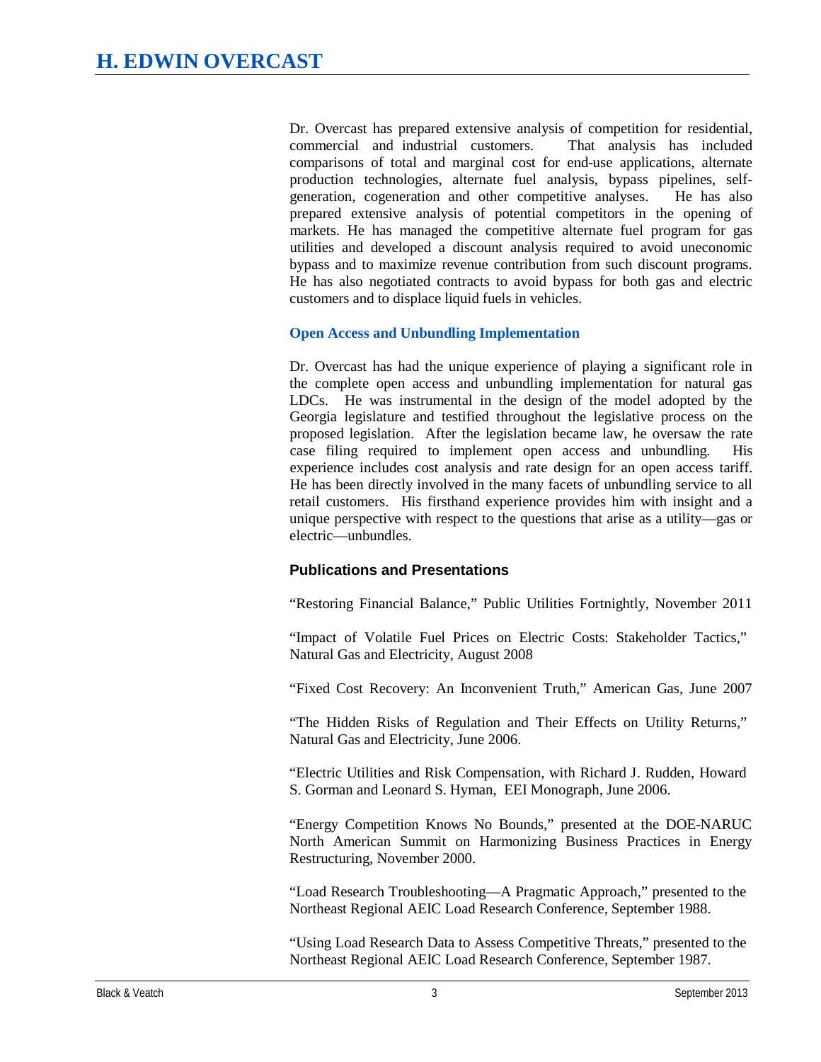Dr. Overcast has prepared extensive analysis of competition for residential, commercial and industrial customers. That analysis has included comparisons of total and marginal cost for end-use applications, alternate production technologies, alternate fuel analysis, bypass pipelines, selfgeneration, cogeneration and other competitive analyses. He has also prepared extensive analysis of potential competitors in the opening of markets. He has managed the competitive alternate fuel program for gas utilities and developed a discount analysis required to avoid uneconomic bypass and to maximize revenue contribution from such discount programs. He has also negotiated contracts to avoid bypass for both gas and electric customers and to displace liquid fuels in vehicles.

### **Open Access and Unbundling Implementation**

Dr. Overcast has had the unique experience of playing a significant role in the complete open access and unbundling implementation for natural gas LDCs. He was instrumental in the design of the model adopted by the Georgia legislature and testified throughout the legislative process on the proposed legislation. After the legislation became law, he oversaw the rate case filing required to implement open access and unbundling. His experience includes cost analysis and rate design for an open access tariff. He has been directly involved in the many facets of unbundling service to all retail customers. His firsthand experience provides him with insight and a unique perspective with respect to the questions that arise as a utility—gas or electric—unbundles.

## **Publications and Presentations**

"Restoring Financial Balance," Public Utilities Fortnightly, November 2011

"Impact of Volatile Fuel Prices on Electric Costs: Stakeholder Tactics," Natural Gas and Electricity, August 2008

"Fixed Cost Recovery: An Inconvenient Truth," American Gas, June 2007

"The Hidden Risks of Regulation and Their Effects on Utility Returns," Natural Gas and Electricity, June 2006.

"Electric Utilities and Risk Compensation, with Richard J. Rudden, Howard S. Gorman and Leonard S. Hyman, EEI Monograph, June 2006.

"Energy Competition Knows No Bounds," presented at the DOE-NARUC North American Summit on Harmonizing Business Practices in Energy Restructuring, November 2000.

"Load Research Troubleshooting—A Pragmatic Approach," presented to the Northeast Regional AEIC Load Research Conference, September 1988.

"Using Load Research Data to Assess Competitive Threats," presented to the Northeast Regional AEIC Load Research Conference, September 1987.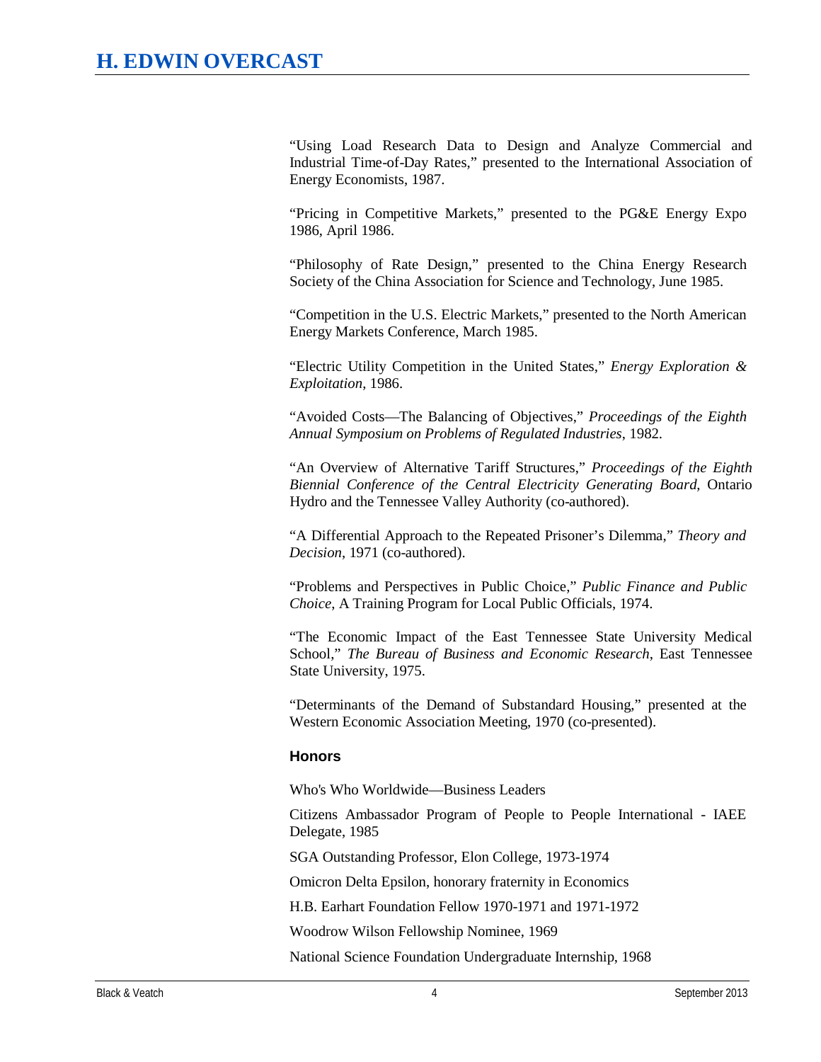"Using Load Research Data to Design and Analyze Commercial and Industrial Time-of-Day Rates," presented to the International Association of Energy Economists, 1987.

"Pricing in Competitive Markets," presented to the PG&E Energy Expo 1986, April 1986.

"Philosophy of Rate Design," presented to the China Energy Research Society of the China Association for Science and Technology, June 1985.

"Competition in the U.S. Electric Markets," presented to the North American Energy Markets Conference, March 1985.

"Electric Utility Competition in the United States," *Energy Exploration & Exploitation*, 1986.

"Avoided Costs—The Balancing of Objectives," *Proceedings of the Eighth Annual Symposium on Problems of Regulated Industries*, 1982.

"An Overview of Alternative Tariff Structures," *Proceedings of the Eighth Biennial Conference of the Central Electricity Generating Board*, Ontario Hydro and the Tennessee Valley Authority (co-authored).

"A Differential Approach to the Repeated Prisoner's Dilemma," *Theory and Decision*, 1971 (co-authored).

"Problems and Perspectives in Public Choice," *Public Finance and Public Choice*, A Training Program for Local Public Officials, 1974.

"The Economic Impact of the East Tennessee State University Medical School," *The Bureau of Business and Economic Research*, East Tennessee State University, 1975.

"Determinants of the Demand of Substandard Housing," presented at the Western Economic Association Meeting, 1970 (co-presented).

#### **Honors**

Who's Who Worldwide—Business Leaders

Citizens Ambassador Program of People to People International - IAEE Delegate, 1985

SGA Outstanding Professor, Elon College, 1973-1974

Omicron Delta Epsilon, honorary fraternity in Economics

H.B. Earhart Foundation Fellow 1970-1971 and 1971-1972

Woodrow Wilson Fellowship Nominee, 1969

National Science Foundation Undergraduate Internship, 1968